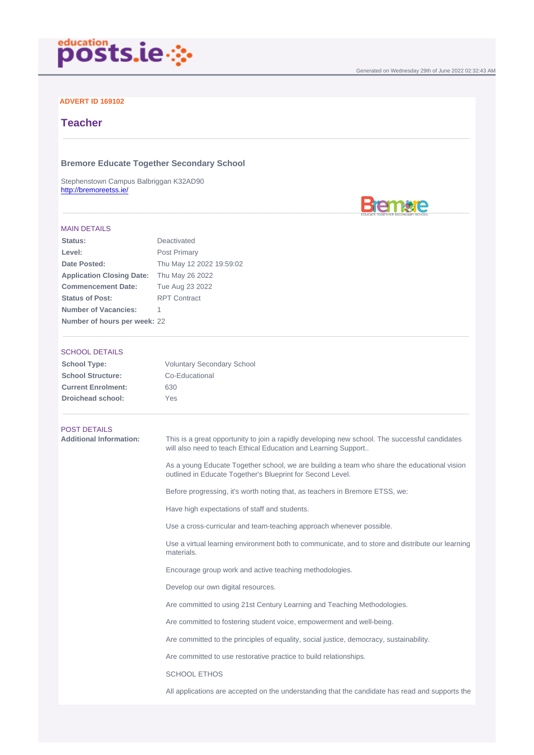## ADVERT ID 169102

# **Teacher**

Bremore Educate Together Secondary School

Stephenstown Campus Balbriggan K32AD90 <http://bremoreetss.ie/>

#### MAIN DETAILS

| Status:                          | Deactivated              |
|----------------------------------|--------------------------|
| Level:                           | Post Primary             |
| Date Posted:                     | Thu May 12 2022 19:59:02 |
| <b>Application Closing Date:</b> | Thu May 26 2022          |
| <b>Commencement Date:</b>        | Tue Aug 23 2022          |
| <b>Status of Post:</b>           | <b>RPT Contract</b>      |
| Number of Vacancies:             | 1                        |
| Number of hours per week:        | 22                       |
|                                  |                          |

#### SCHOOL DETAILS

| School Type:       | <b>Voluntary Secondary School</b> |
|--------------------|-----------------------------------|
| School Structure:  | Co-Educational                    |
| Current Enrolment: | 630                               |
| Droichead school:  | Yes                               |

#### POST DETAILS

Additional Information: This is a great opportunity to join a rapidly developing new school. The successful candidates will also need to teach Ethical Education and Learning Support..

> As a young Educate Together school, we are building a team who share the educational vision outlined in Educate Together's Blueprint for Second Level.

Before progressing, it's worth noting that, as teachers in Bremore ETSS, we:

Have high expectations of staff and students.

Use a cross-curricular and team-teaching approach whenever possible.

Use a virtual learning environment both to communicate, and to store and distribute our learning materials.

Encourage group work and active teaching methodologies.

Develop our own digital resources.

Are committed to using 21st Century Learning and Teaching Methodologies.

Are committed to fostering student voice, empowerment and well-being.

Are committed to the principles of equality, social justice, democracy, sustainability.

Are committed to use restorative practice to build relationships.

SCHOOL ETHOS

All applications are accepted on the understanding that the candidate has read and supports the